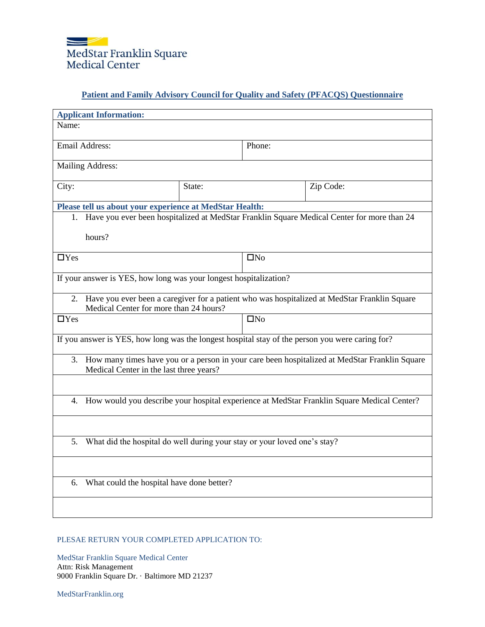

## **Patient and Family Advisory Council for Quality and Safety (PFACQS) Questionnaire**

| <b>Applicant Information:</b>                                                                                                                  |              |           |  |
|------------------------------------------------------------------------------------------------------------------------------------------------|--------------|-----------|--|
|                                                                                                                                                |              |           |  |
| Email Address:<br>Phone:                                                                                                                       |              |           |  |
| Mailing Address:                                                                                                                               |              |           |  |
| State:                                                                                                                                         |              | Zip Code: |  |
| Please tell us about your experience at MedStar Health:                                                                                        |              |           |  |
| 1. Have you ever been hospitalized at MedStar Franklin Square Medical Center for more than 24                                                  |              |           |  |
| hours?                                                                                                                                         |              |           |  |
|                                                                                                                                                | $\square$ No |           |  |
| If your answer is YES, how long was your longest hospitalization?                                                                              |              |           |  |
| Have you ever been a caregiver for a patient who was hospitalized at MedStar Franklin Square<br>2.<br>Medical Center for more than 24 hours?   |              |           |  |
|                                                                                                                                                | $\square$ No |           |  |
| If you answer is YES, how long was the longest hospital stay of the person you were caring for?                                                |              |           |  |
| How many times have you or a person in your care been hospitalized at MedStar Franklin Square<br>3.<br>Medical Center in the last three years? |              |           |  |
|                                                                                                                                                |              |           |  |
| How would you describe your hospital experience at MedStar Franklin Square Medical Center?<br>4.                                               |              |           |  |
|                                                                                                                                                |              |           |  |
| What did the hospital do well during your stay or your loved one's stay?<br>5.                                                                 |              |           |  |
|                                                                                                                                                |              |           |  |
| What could the hospital have done better?<br>6.                                                                                                |              |           |  |
|                                                                                                                                                |              |           |  |
|                                                                                                                                                |              |           |  |

## PLESAE RETURN YOUR COMPLETED APPLICATION TO:

MedStar Franklin Square Medical Center Attn: Risk Management 9000 Franklin Square Dr. · Baltimore MD 21237

MedStarFranklin.org